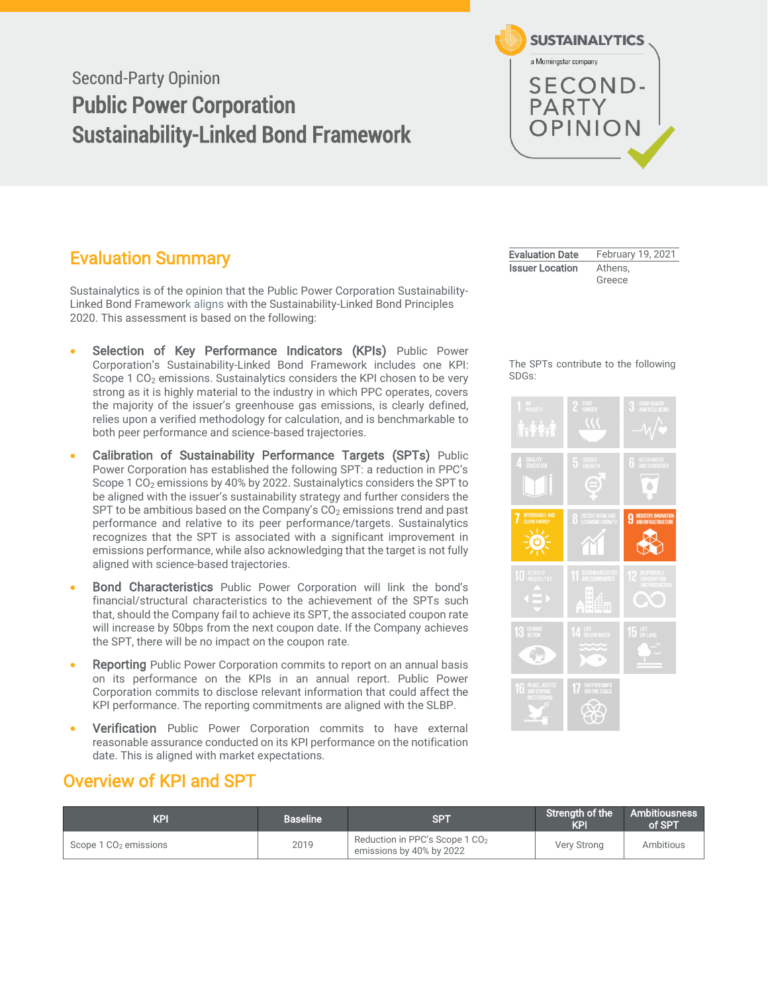# Second-Party Opinion Public Power Corporation Sustainability-Linked Bond Framework



# <span id="page-0-0"></span>Evaluation Summary

Sustainalytics is of the opinion that the Public Power Corporation Sustainability-Linked Bond Framework aligns with the Sustainability-Linked Bond Principles 2020. This assessment is based on the following:

- Selection of Key Performance Indicators (KPIs) Public Power Corporation's Sustainability-Linked Bond Framework includes one KPI: Scope 1  $CO<sub>2</sub>$  emissions. Sustainalytics considers the KPI chosen to be very strong as it is highly material to the industry in which PPC operates, covers the majority of the issuer's greenhouse gas emissions, is clearly defined, relies upon a verified methodology for calculation, and is benchmarkable to both peer performance and science-based trajectories.
- Calibration of Sustainability Performance Targets (SPTs) Public Power Corporation has established the following SPT: a reduction in PPC's Scope 1 CO<sub>2</sub> emissions by 40% by 2022. Sustainalytics considers the SPT to be aligned with the issuer's sustainability strategy and further considers the SPT to be ambitious based on the Company's  $CO<sub>2</sub>$  emissions trend and past performance and relative to its peer performance/targets. Sustainalytics recognizes that the SPT is associated with a significant improvement in emissions performance, while also acknowledging that the target is not fully aligned with science-based trajectories.
- Bond Characteristics Public Power Corporation will link the bond's financial/structural characteristics to the achievement of the SPTs such that, should the Company fail to achieve its SPT, the associated coupon rate will increase by 50bps from the next coupon date. If the Company achieves the SPT, there will be no impact on the coupon rate.
- **Reporting** Public Power Corporation commits to report on an annual basis on its performance on the KPIs in an annual report. Public Power Corporation commits to disclose relevant information that could affect the KPI performance. The reporting commitments are aligned with the SLBP.
- **Verification** Public Power Corporation commits to have external reasonable assurance conducted on its KPI performance on the notification date. This is aligned with market expectations.

### <span id="page-0-1"></span>Overview of KPI and SPT

<span id="page-0-2"></span>

| KPI                               | <b>Baseline</b> ' | <b>SPT</b>                                                             | Strength of the<br><b>KPI</b> | Ambitiousness l<br>of SPT |
|-----------------------------------|-------------------|------------------------------------------------------------------------|-------------------------------|---------------------------|
| Scope 1 CO <sub>2</sub> emissions | 2019              | Reduction in PPC's Scope 1 CO <sub>2</sub><br>emissions by 40% by 2022 | Very Strong                   | Ambitious                 |

| <b>Evaluation Date</b> | February 19, 2021 |
|------------------------|-------------------|
| <b>Issuer Location</b> | Athens.           |
|                        | Greece            |

#### The SPTs contribute to the following SDGs:

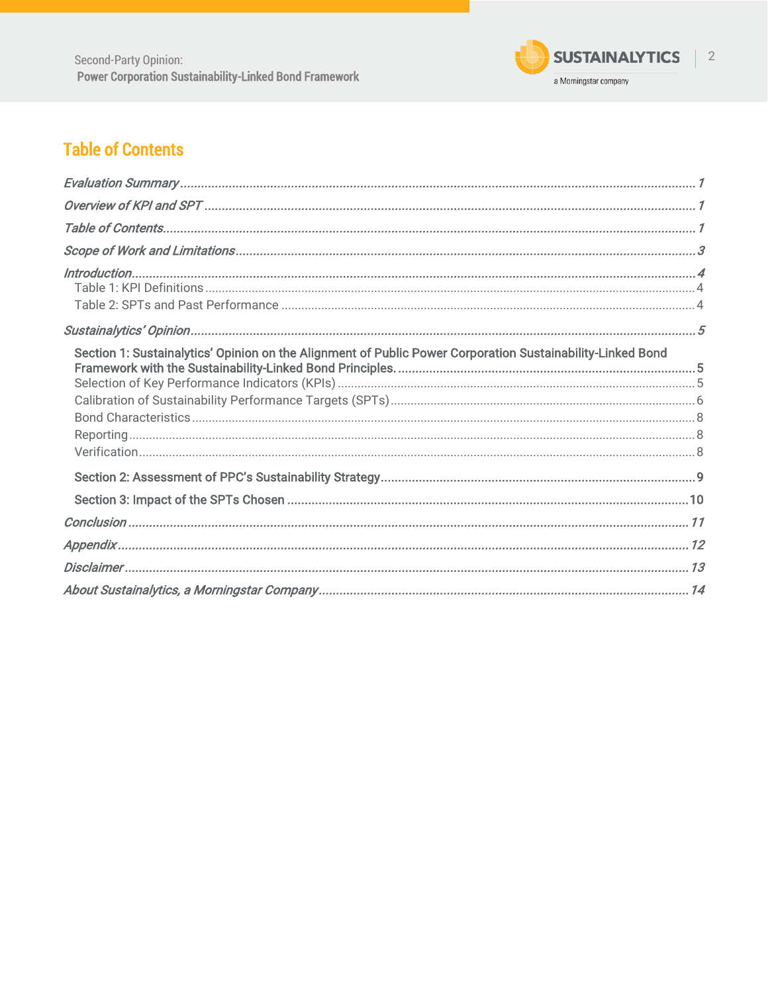

# **Table of Contents**

| Section 1: Sustainalytics' Opinion on the Alignment of Public Power Corporation Sustainability-Linked Bond |  |
|------------------------------------------------------------------------------------------------------------|--|
|                                                                                                            |  |
|                                                                                                            |  |
|                                                                                                            |  |
|                                                                                                            |  |
|                                                                                                            |  |
|                                                                                                            |  |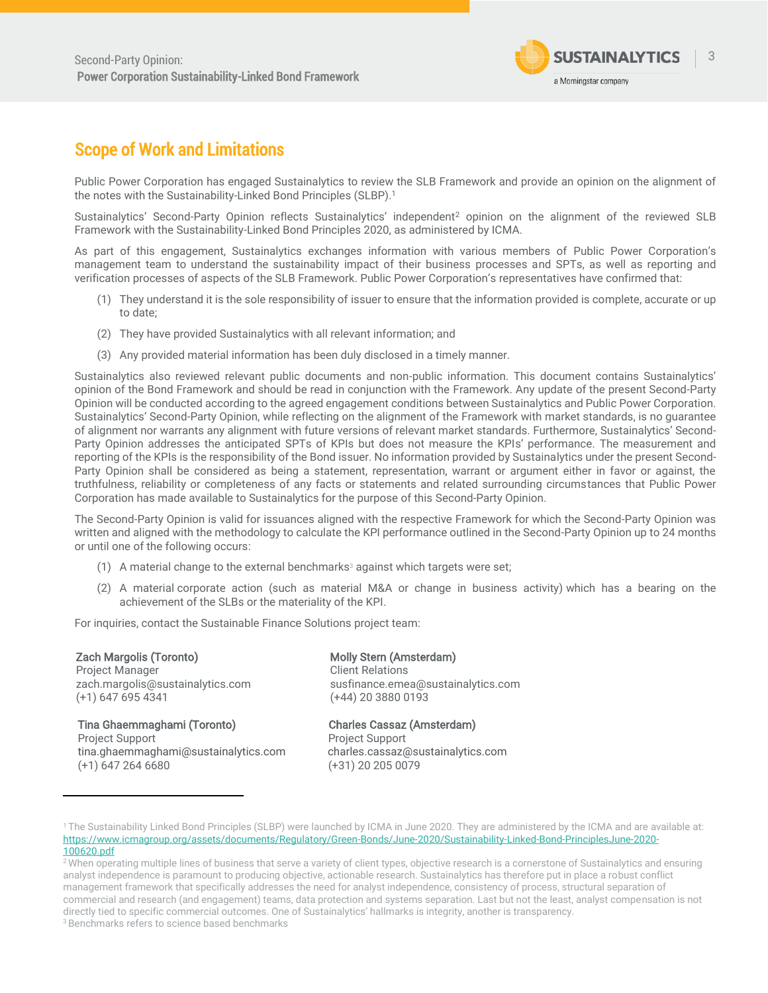

### <span id="page-2-0"></span>Scope of Work and Limitations

Public Power Corporation has engaged Sustainalytics to review the SLB Framework and provide an opinion on the alignment of the notes with the Sustainability-Linked Bond Principles (SLBP).<sup>1</sup>

Sustainalytics' Second-Party Opinion reflects Sustainalytics' independent<sup>2</sup> opinion on the alignment of the reviewed SLB Framework with the Sustainability-Linked Bond Principles 2020, as administered by ICMA.

As part of this engagement, Sustainalytics exchanges information with various members of Public Power Corporation's management team to understand the sustainability impact of their business processes and SPTs, as well as reporting and verification processes of aspects of the SLB Framework. Public Power Corporation's representatives have confirmed that:

- (1) They understand it is the sole responsibility of issuer to ensure that the information provided is complete, accurate or up to date;
- (2) They have provided Sustainalytics with all relevant information; and
- (3) Any provided material information has been duly disclosed in a timely manner.

Sustainalytics also reviewed relevant public documents and non-public information. This document contains Sustainalytics' opinion of the Bond Framework and should be read in conjunction with the Framework. Any update of the present Second-Party Opinion will be conducted according to the agreed engagement conditions between Sustainalytics and Public Power Corporation. Sustainalytics' Second-Party Opinion, while reflecting on the alignment of the Framework with market standards, is no guarantee of alignment nor warrants any alignment with future versions of relevant market standards. Furthermore, Sustainalytics' Second-Party Opinion addresses the anticipated SPTs of KPIs but does not measure the KPIs' performance. The measurement and reporting of the KPIs is the responsibility of the Bond issuer. No information provided by Sustainalytics under the present Second-Party Opinion shall be considered as being a statement, representation, warrant or argument either in favor or against, the truthfulness, reliability or completeness of any facts or statements and related surrounding circumstances that Public Power Corporation has made available to Sustainalytics for the purpose of this Second-Party Opinion.

The Second-Party Opinion is valid for issuances aligned with the respective Framework for which the Second-Party Opinion was written and aligned with the methodology to calculate the KPI performance outlined in the Second-Party Opinion up to 24 months or until one of the following occurs:

- (1) A material change to the external benchmarks<sup>3</sup> against which targets were set;
- (2) A material corporate action (such as material M&A or change in business activity) which has a bearing on the achievement of the SLBs or the materiality of the KPI.

For inquiries, contact the Sustainable Finance Solutions project team:

Zach Margolis (Toronto) Project Manager zach.margolis@sustainalytics.com (+1) 647 695 4341

 Tina Ghaemmaghami (Toronto) Charles Cassaz (Amsterdam) Project Support **Project Support** [tina.ghaemmaghami@sustainalytics.com](mailto:tina.ghaemmaghami@sustainalytics.com) charles.cassaz@sustainalytics.com (+1) 647 264 6680 (+31) 20 205 0079

Molly Stern (Amsterdam) Client Relations susfinance.emea@sustainalytics.com (+44) 20 3880 0193

<sup>3</sup> Benchmarks refers to science based benchmarks

<sup>1</sup> The Sustainability Linked Bond Principles (SLBP) were launched by ICMA in June 2020. They are administered by the ICMA and are available at: [https://www.icmagroup.org/assets/documents/Regulatory/Green-Bonds/June-2020/Sustainability-Linked-Bond-PrinciplesJune-2020-](https://www.icmagroup.org/assets/documents/Regulatory/Green-Bonds/June-2020/Sustainability-Linked-Bond-PrinciplesJune-2020-100620.pdf) [100620.pdf](https://www.icmagroup.org/assets/documents/Regulatory/Green-Bonds/June-2020/Sustainability-Linked-Bond-PrinciplesJune-2020-100620.pdf)

<sup>&</sup>lt;sup>2</sup> When operating multiple lines of business that serve a variety of client types, objective research is a cornerstone of Sustainalytics and ensuring analyst independence is paramount to producing objective, actionable research. Sustainalytics has therefore put in place a robust conflict management framework that specifically addresses the need for analyst independence, consistency of process, structural separation of commercial and research (and engagement) teams, data protection and systems separation. Last but not the least, analyst compensation is not directly tied to specific commercial outcomes. One of Sustainalytics' hallmarks is integrity, another is transparency.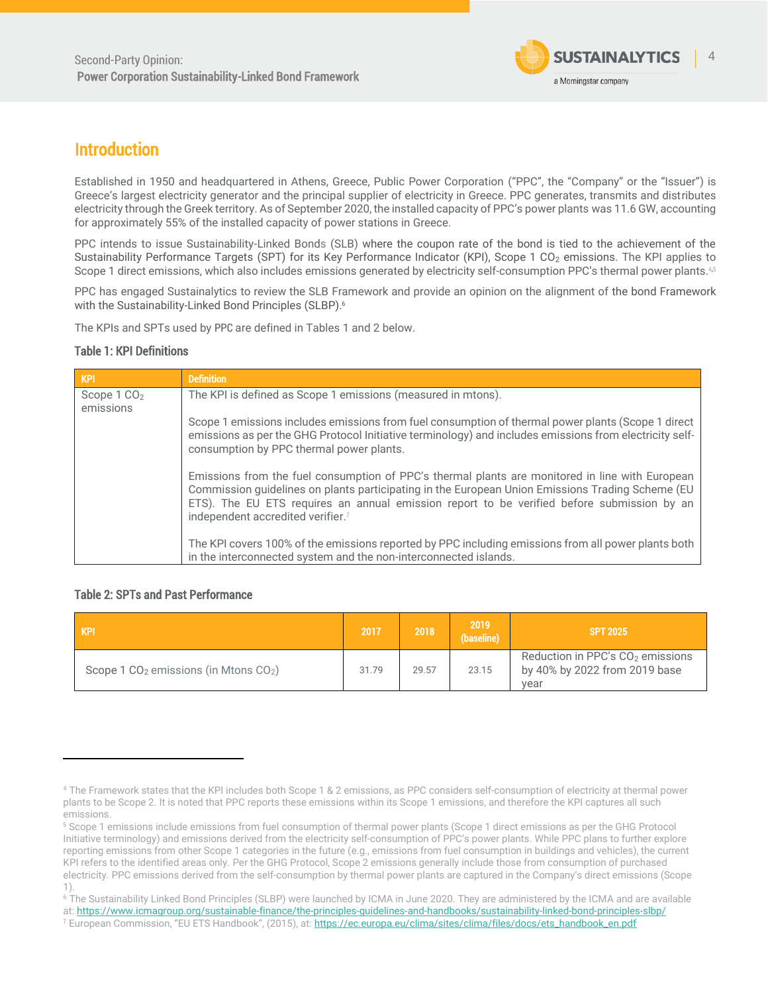

### <span id="page-3-0"></span>Introduction

Established in 1950 and headquartered in Athens, Greece, Public Power Corporation ("PPC", the "Company" or the "Issuer") is Greece's largest electricity generator and the principal supplier of electricity in Greece. PPC generates, transmits and distributes electricity through the Greek territory. As of September 2020, the installed capacity of PPC's power plants was 11.6 GW, accounting for approximately 55% of the installed capacity of power stations in Greece.

PPC intends to issue Sustainability-Linked Bonds (SLB) where the coupon rate of the bond is tied to the achievement of the Sustainability Performance Targets (SPT) for its Key Performance Indicator (KPI), Scope 1 CO<sub>2</sub> emissions. The KPI applies to Scope 1 direct emissions, which also includes emissions generated by electricity self-consumption PPC's thermal power plants.4,5

PPC has engaged Sustainalytics to review the SLB Framework and provide an opinion on the alignment of the bond Framework with the Sustainability-Linked Bond Principles (SLBP).<sup>6</sup>

The KPIs and SPTs used by PPC are defined in Tables 1 and 2 below.

### <span id="page-3-1"></span>Table 1: KPI Definitions

| KPI                    | <b>Definition</b>                                                                                                                                                                                                                                                                                                                                  |
|------------------------|----------------------------------------------------------------------------------------------------------------------------------------------------------------------------------------------------------------------------------------------------------------------------------------------------------------------------------------------------|
| Scope $1 \text{ CO}_2$ | The KPI is defined as Scope 1 emissions (measured in mtons).                                                                                                                                                                                                                                                                                       |
| emissions              |                                                                                                                                                                                                                                                                                                                                                    |
|                        | Scope 1 emissions includes emissions from fuel consumption of thermal power plants (Scope 1 direct<br>emissions as per the GHG Protocol Initiative terminology) and includes emissions from electricity self-<br>consumption by PPC thermal power plants.                                                                                          |
|                        | Emissions from the fuel consumption of PPC's thermal plants are monitored in line with European<br>Commission guidelines on plants participating in the European Union Emissions Trading Scheme (EU<br>ETS). The EU ETS requires an annual emission report to be verified before submission by an<br>independent accredited verifier. <sup>7</sup> |
|                        | The KPI covers 100% of the emissions reported by PPC including emissions from all power plants both<br>in the interconnected system and the non-interconnected islands.                                                                                                                                                                            |

### <span id="page-3-3"></span><span id="page-3-2"></span>Table 2: SPTs and Past Performance

| <b>KPI</b>                                | 2017  | 2018  | 2019<br>(baseline) | <b>SPT 2025</b>                                                             |
|-------------------------------------------|-------|-------|--------------------|-----------------------------------------------------------------------------|
| Scope 1 $CO2$ emissions (in Mtons $CO2$ ) | 31.79 | 29.57 | 23.15              | Reduction in PPC's $CO2$ emissions<br>by 40% by 2022 from 2019 base<br>vear |

<sup>4</sup> The Framework states that the KPI includes both Scope 1 & 2 emissions, as PPC considers self-consumption of electricity at thermal power plants to be Scope 2. It is noted that PPC reports these emissions within its Scope 1 emissions, and therefore the KPI captures all such emissions.

<sup>5</sup> Scope 1 emissions include emissions from fuel consumption of thermal power plants (Scope 1 direct emissions as per the GHG Protocol Initiative terminology) and emissions derived from the electricity self-consumption of PPC's power plants. While PPC plans to further explore reporting emissions from other Scope 1 categories in the future (e.g., emissions from fuel consumption in buildings and vehicles), the current KPI refers to the identified areas only. Per the GHG Protocol, Scope 2 emissions generally include those from consumption of purchased electricity. PPC emissions derived from the self-consumption by thermal power plants are captured in the Company's direct emissions (Scope 1).

<sup>&</sup>lt;sup>6</sup> The Sustainability Linked Bond Principles (SLBP) were launched by ICMA in June 2020. They are administered by the ICMA and are available

at[: https://www.icmagroup.org/sustainable-finance/the-principles-guidelines-and-handbooks/sustainability-linked-bond-principles-slbp/](https://www.icmagroup.org/sustainable-finance/the-principles-guidelines-and-handbooks/sustainability-linked-bond-principles-slbp/) <sup>7</sup> European Commission, "EU ETS Handbook", (2015), at: https://ec.europa.eu/clima/sites/clima/files/docs/ets\_handbook\_en.pdf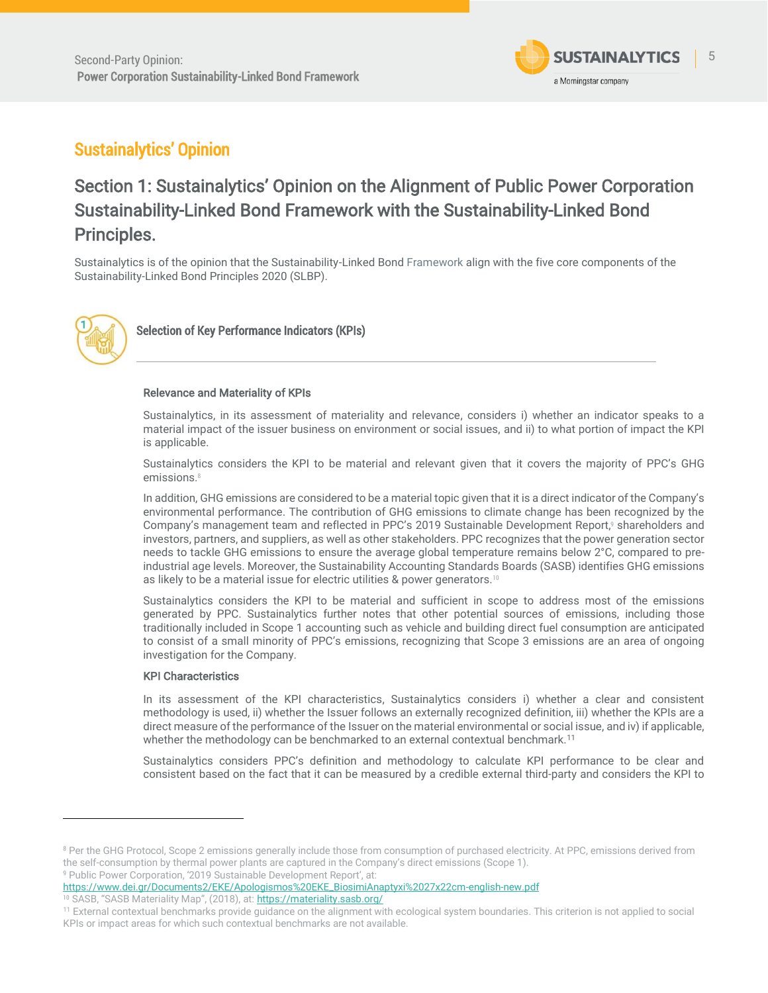

## <span id="page-4-0"></span>Sustainalytics' Opinion

# <span id="page-4-1"></span>Section 1: Sustainalytics' Opinion on the Alignment of Public Power Corporation Sustainability-Linked Bond Framework with the Sustainability-Linked Bond Principles.

Sustainalytics is of the opinion that the Sustainability-Linked Bond Framework align with the five core components of the Sustainability-Linked Bond Principles 2020 (SLBP).



<span id="page-4-2"></span>Selection of Key Performance Indicators (KPIs)

#### Relevance and Materiality of KPIs

Sustainalytics, in its assessment of materiality and relevance, considers i) whether an indicator speaks to a material impact of the issuer business on environment or social issues, and ii) to what portion of impact the KPI is applicable.

Sustainalytics considers the KPI to be material and relevant given that it covers the majority of PPC's GHG emissions.<sup>8</sup>

In addition, GHG emissions are considered to be a material topic given that it is a direct indicator of the Company's environmental performance. The contribution of GHG emissions to climate change has been recognized by the Company's management team and reflected in PPC's 2019 Sustainable Development Report, <sup>9</sup> shareholders and investors, partners, and suppliers, as well as other stakeholders. PPC recognizes that the power generation sector needs to tackle GHG emissions to ensure the average global temperature remains below 2°C, compared to preindustrial age levels. Moreover, the Sustainability Accounting Standards Boards (SASB) identifies GHG emissions as likely to be a material issue for electric utilities & power generators.<sup>10</sup>

Sustainalytics considers the KPI to be material and sufficient in scope to address most of the emissions generated by PPC. Sustainalytics further notes that other potential sources of emissions, including those traditionally included in Scope 1 accounting such as vehicle and building direct fuel consumption are anticipated to consist of a small minority of PPC's emissions, recognizing that Scope 3 emissions are an area of ongoing investigation for the Company.

#### KPI Characteristics

In its assessment of the KPI characteristics, Sustainalytics considers i) whether a clear and consistent methodology is used, ii) whether the Issuer follows an externally recognized definition, iii) whether the KPIs are a direct measure of the performance of the Issuer on the material environmental or social issue, and iv) if applicable, whether the methodology can be benchmarked to an external contextual benchmark.<sup>11</sup>

Sustainalytics considers PPC's definition and methodology to calculate KPI performance to be clear and consistent based on the fact that it can be measured by a credible external third-party and considers the KPI to

https://www.dei.gr/Documents2/ΕΚΕ/Apologismos%20EKE\_BiosimiAnaptyxi%2027x22cm-english-new.pdf <sup>10</sup> SASB, "SASB Materiality Map", (2018), at: **<https://materiality.sasb.org/>** 

<sup>&</sup>lt;sup>8</sup> Per the GHG Protocol, Scope 2 emissions generally include those from consumption of purchased electricity. At PPC, emissions derived from the self-consumption by thermal power plants are captured in the Company's direct emissions (Scope 1). <sup>9</sup> Public Power Corporation, '2019 Sustainable Development Report', at:

<sup>11</sup> External contextual benchmarks provide guidance on the alignment with ecological system boundaries. This criterion is not applied to social KPIs or impact areas for which such contextual benchmarks are not available.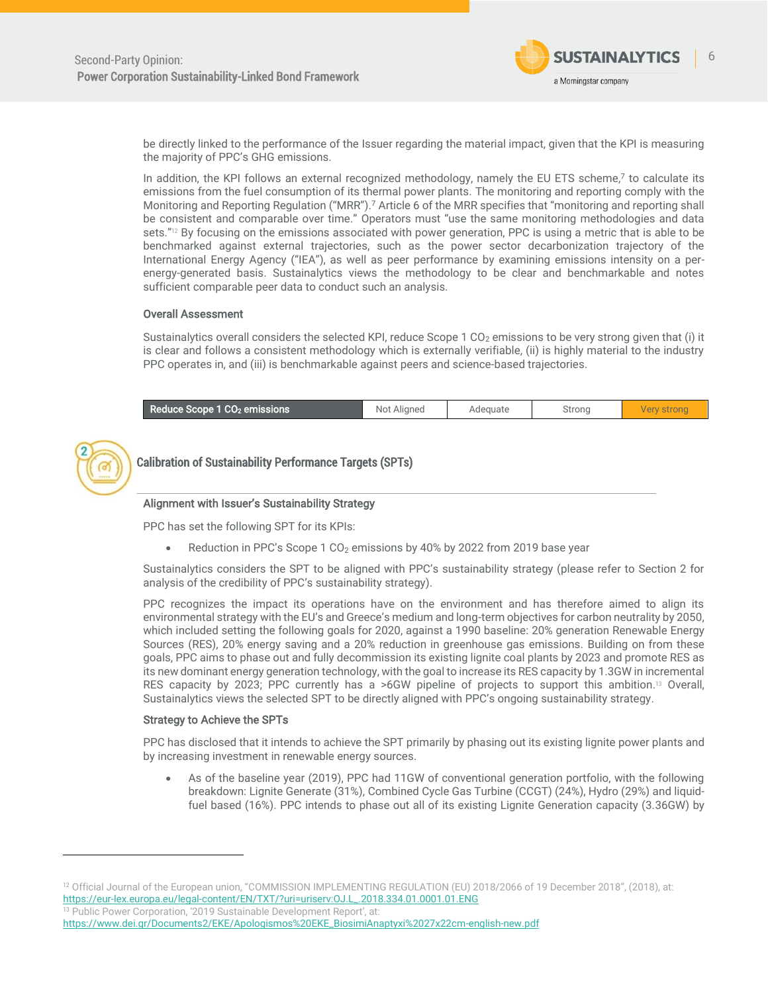

be directly linked to the performance of the Issuer regarding the material impact, given that the KPI is measuring the majority of PPC's GHG emissions.

In addition, the KPI follows an external recognized methodology, namely the EU ETS schem[e,](#page-3-3)<sup>7</sup> to calculate its emissions from the fuel consumption of its thermal power plants. The monitoring and reporting comply with the Monitoring and Reporting Regulation ("MRR").[7](#page-3-3) Article 6 of the MRR specifies that "monitoring and reporting shall be consistent and comparable over time." Operators must "use the same monitoring methodologies and data sets."<sup>12</sup> By focusing on the emissions associated with power generation, PPC is using a metric that is able to be benchmarked against external trajectories, such as the power sector decarbonization trajectory of the International Energy Agency ("IEA"), as well as peer performance by examining emissions intensity on a perenergy-generated basis. Sustainalytics views the methodology to be clear and benchmarkable and notes sufficient comparable peer data to conduct such an analysis.

#### Overall Assessment

Sustainalytics overall considers the selected KPI, reduce Scope 1  $CO<sub>2</sub>$  emissions to be very strong given that (i) it is clear and follows a consistent methodology which is externally verifiable, (ii) is highly material to the industry PPC operates in, and (iii) is benchmarkable against peers and science-based trajectories.

|  | Reduce Scope 1 CO2 emissions | Not<br>Aligned | Adeauate | Stronc |  |
|--|------------------------------|----------------|----------|--------|--|
|--|------------------------------|----------------|----------|--------|--|



<span id="page-5-0"></span>Calibration of Sustainability Performance Targets (SPTs)

#### Alignment with Issuer's Sustainability Strategy

PPC has set the following SPT for its KPIs:

• Reduction in PPC's Scope 1 CO<sub>2</sub> emissions by 40% by 2022 from 2019 base year

Sustainalytics considers the SPT to be aligned with PPC's sustainability strategy (please refer to Section 2 for analysis of the credibility of PPC's sustainability strategy).

PPC recognizes the impact its operations have on the environment and has therefore aimed to align its environmental strategy with the EU's and Greece's medium and long-term objectives for carbon neutrality by 2050, which included setting the following goals for 2020, against a 1990 baseline: 20% generation Renewable Energy Sources (RES), 20% energy saving and a 20% reduction in greenhouse gas emissions. Building on from these goals, PPC aims to phase out and fully decommission its existing lignite coal plants by 2023 and promote RES as its new dominant energy generation technology, with the goal to increase its RES capacity by 1.3GW in incremental RES capacity by 2023; PPC currently has a >6GW pipeline of projects to support this ambition.<sup>13</sup> Overall, Sustainalytics views the selected SPT to be directly aligned with PPC's ongoing sustainability strategy.

#### Strategy to Achieve the SPTs

PPC has disclosed that it intends to achieve the SPT primarily by phasing out its existing lignite power plants and by increasing investment in renewable energy sources.

• As of the baseline year (2019), PPC had 11GW of conventional generation portfolio, with the following breakdown: Lignite Generate (31%), Combined Cycle Gas Turbine (CCGT) (24%), Hydro (29%) and liquidfuel based (16%). PPC intends to phase out all of its existing Lignite Generation capacity (3.36GW) by

<sup>&</sup>lt;sup>12</sup> Official Journal of the European union, "COMMISSION IMPLEMENTING REGULATION (EU) 2018/2066 of 19 December 2018", (2018), at: [https://eur-lex.europa.eu/legal-content/EN/TXT/?uri=uriserv:OJ.L\\_.2018.334.01.0001.01.ENG](https://eur-lex.europa.eu/legal-content/EN/TXT/?uri=uriserv:OJ.L_.2018.334.01.0001.01.ENG) <sup>13</sup> Public Power Corporation, '2019 Sustainable Development Report', at: https://www.dei.gr/Documents2/ΕΚΕ/Apologismos%20EKE\_BiosimiAnaptyxi%2027x22cm-english-new.pdf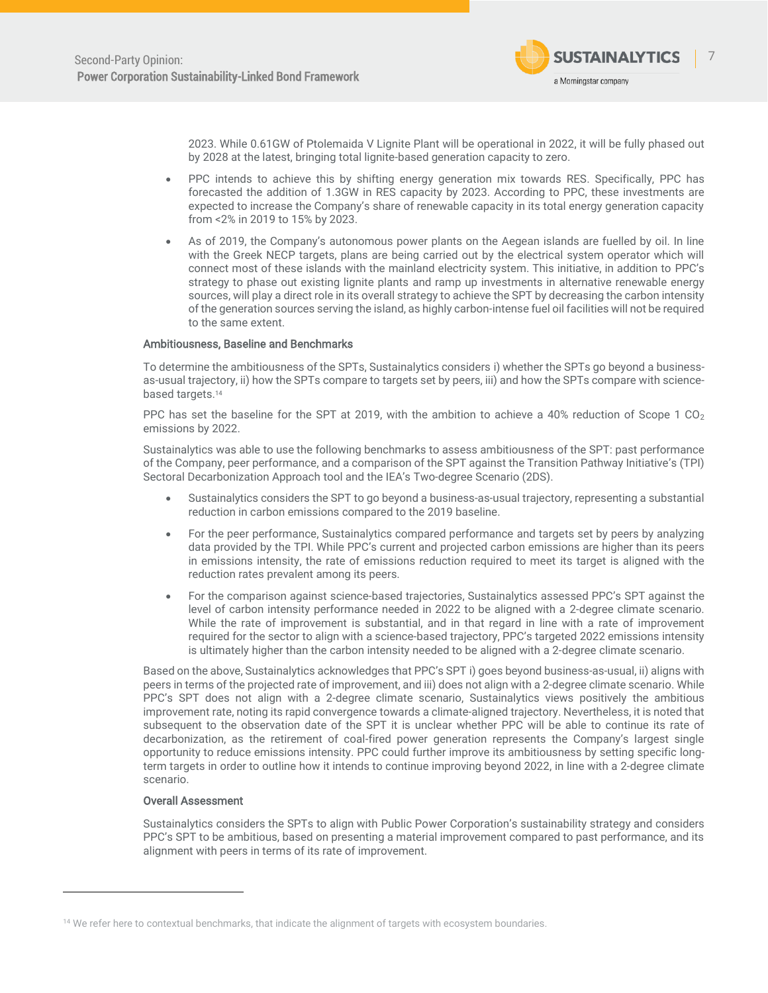

2023. While 0.61GW of Ptolemaida V Lignite Plant will be operational in 2022, it will be fully phased out by 2028 at the latest, bringing total lignite-based generation capacity to zero.

- PPC intends to achieve this by shifting energy generation mix towards RES. Specifically, PPC has forecasted the addition of 1.3GW in RES capacity by 2023. According to PPC, these investments are expected to increase the Company's share of renewable capacity in its total energy generation capacity from <2% in 2019 to 15% by 2023.
- As of 2019, the Company's autonomous power plants on the Aegean islands are fuelled by oil. In line with the Greek NECP targets, plans are being carried out by the electrical system operator which will connect most of these islands with the mainland electricity system. This initiative, in addition to PPC's strategy to phase out existing lignite plants and ramp up investments in alternative renewable energy sources, will play a direct role in its overall strategy to achieve the SPT by decreasing the carbon intensity of the generation sources serving the island, as highly carbon-intense fuel oil facilities will not be required to the same extent.

#### Ambitiousness, Baseline and Benchmarks

To determine the ambitiousness of the SPTs, Sustainalytics considers i) whether the SPTs go beyond a businessas-usual trajectory, ii) how the SPTs compare to targets set by peers, iii) and how the SPTs compare with sciencebased targets. 14

PPC has set the baseline for the SPT at 2019, with the ambition to achieve a 40% reduction of Scope 1  $CO<sub>2</sub>$ emissions by 2022.

Sustainalytics was able to use the following benchmarks to assess ambitiousness of the SPT: past performance of the Company, peer performance, and a comparison of the SPT against the Transition Pathway Initiative's (TPI) Sectoral Decarbonization Approach tool and the IEA's Two-degree Scenario (2DS).

- Sustainalytics considers the SPT to go beyond a business-as-usual trajectory, representing a substantial reduction in carbon emissions compared to the 2019 baseline.
- For the peer performance, Sustainalytics compared performance and targets set by peers by analyzing data provided by the TPI. While PPC's current and projected carbon emissions are higher than its peers in emissions intensity, the rate of emissions reduction required to meet its target is aligned with the reduction rates prevalent among its peers.
- For the comparison against science-based trajectories, Sustainalytics assessed PPC's SPT against the level of carbon intensity performance needed in 2022 to be aligned with a 2-degree climate scenario. While the rate of improvement is substantial, and in that regard in line with a rate of improvement required for the sector to align with a science-based trajectory, PPC's targeted 2022 emissions intensity is ultimately higher than the carbon intensity needed to be aligned with a 2-degree climate scenario.

Based on the above, Sustainalytics acknowledges that PPC's SPT i) goes beyond business-as-usual, ii) aligns with peers in terms of the projected rate of improvement, and iii) does not align with a 2-degree climate scenario. While PPC's SPT does not align with a 2-degree climate scenario, Sustainalytics views positively the ambitious improvement rate, noting its rapid convergence towards a climate-aligned trajectory. Nevertheless, it is noted that subsequent to the observation date of the SPT it is unclear whether PPC will be able to continue its rate of decarbonization, as the retirement of coal-fired power generation represents the Company's largest single opportunity to reduce emissions intensity. PPC could further improve its ambitiousness by setting specific longterm targets in order to outline how it intends to continue improving beyond 2022, in line with a 2-degree climate scenario.

#### Overall Assessment

Sustainalytics considers the SPTs to align with Public Power Corporation's sustainability strategy and considers PPC's SPT to be ambitious, based on presenting a material improvement compared to past performance, and its alignment with peers in terms of its rate of improvement.

<sup>&</sup>lt;sup>14</sup> We refer here to contextual benchmarks, that indicate the alignment of targets with ecosystem boundaries.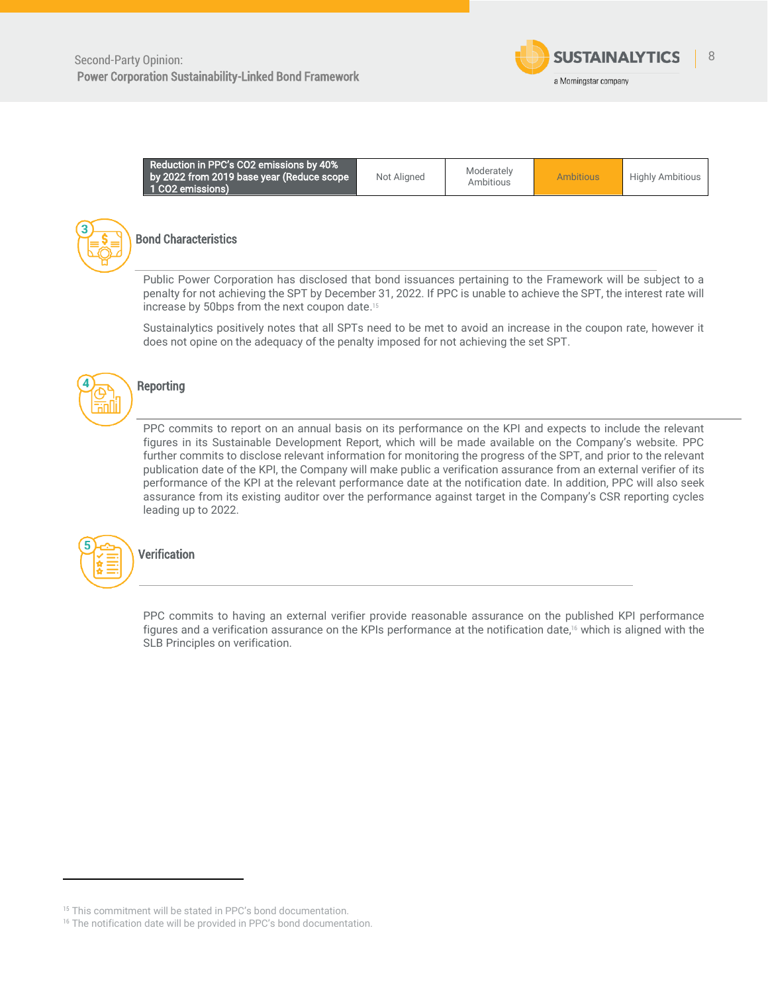

| Reduction in PPC's CO2 emissions by 40%<br>by 2022 from 2019 base year (Reduce scope<br>1 CO2 emissions) | Not Aligned | Moderately<br>Ambitious | <b>Ambitious</b> | <b>Highly Ambitious</b> |
|----------------------------------------------------------------------------------------------------------|-------------|-------------------------|------------------|-------------------------|
|----------------------------------------------------------------------------------------------------------|-------------|-------------------------|------------------|-------------------------|



### <span id="page-7-0"></span>Bond Characteristics

Public Power Corporation has disclosed that bond issuances pertaining to the Framework will be subject to a penalty for not achieving the SPT by December 31, 2022. If PPC is unable to achieve the SPT, the interest rate will increase by 50bps from the next coupon date. 15

Sustainalytics positively notes that all SPTs need to be met to avoid an increase in the coupon rate, however it does not opine on the adequacy of the penalty imposed for not achieving the set SPT.



### <span id="page-7-1"></span>**Reporting**

PPC commits to report on an annual basis on its performance on the KPI and expects to include the relevant figures in its Sustainable Development Report, which will be made available on the Company's website. PPC further commits to disclose relevant information for monitoring the progress of the SPT, and prior to the relevant publication date of the KPI, the Company will make public a verification assurance from an external verifier of its performance of the KPI at the relevant performance date at the notification date. In addition, PPC will also seek assurance from its existing auditor over the performance against target in the Company's CSR reporting cycles leading up to 2022.

<span id="page-7-2"></span>

PPC commits to having an external verifier provide reasonable assurance on the published KPI performance figures and a verification assurance on the KPIs performance at the notification date, <sup>16</sup> which is aligned with the SLB Principles on verification.

<sup>&</sup>lt;sup>15</sup> This commitment will be stated in PPC's bond documentation.

<sup>&</sup>lt;sup>16</sup> The notification date will be provided in PPC's bond documentation.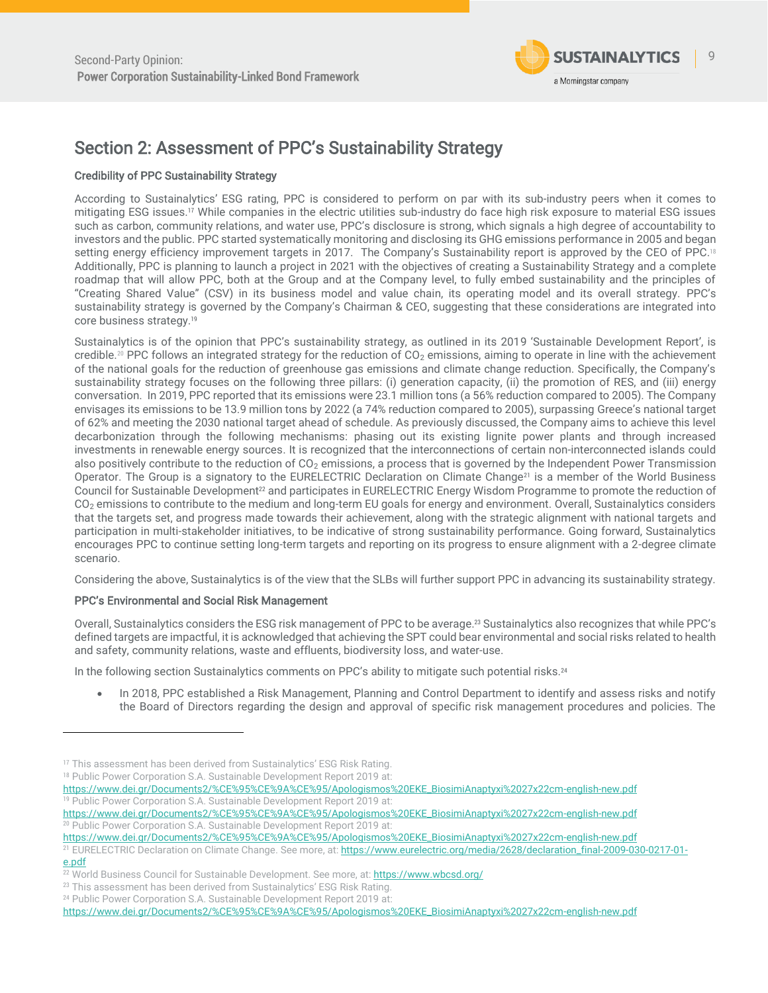

## <span id="page-8-0"></span>Section 2: Assessment of PPC's Sustainability Strategy

### Credibility of PPC Sustainability Strategy

According to Sustainalytics' ESG rating, PPC is considered to perform on par with its sub-industry peers when it comes to mitigating ESG issues.<sup>17</sup> While companies in the electric utilities sub-industry do face high risk exposure to material ESG issues such as carbon, community relations, and water use, PPC's disclosure is strong, which signals a high degree of accountability to investors and the public. PPC started systematically monitoring and disclosing its GHG emissions performance in 2005 and began setting energy efficiency improvement targets in 2017. The Company's Sustainability report is approved by the CEO of PPC.<sup>18</sup> Additionally, PPC is planning to launch a project in 2021 with the objectives of creating a Sustainability Strategy and a complete roadmap that will allow PPC, both at the Group and at the Company level, to fully embed sustainability and the principles of "Creating Shared Value" (CSV) in its business model and value chain, its operating model and its overall strategy. PPC's sustainability strategy is governed by the Company's Chairman & CEO, suggesting that these considerations are integrated into core business strategy.<sup>19</sup>

Sustainalytics is of the opinion that PPC's sustainability strategy, as outlined in its 2019 'Sustainable Development Report', is credible.<sup>20</sup> PPC follows an integrated strategy for the reduction of  $CO<sub>2</sub>$  emissions, aiming to operate in line with the achievement of the national goals for the reduction of greenhouse gas emissions and climate change reduction. Specifically, the Company's sustainability strategy focuses on the following three pillars: (i) generation capacity, (ii) the promotion of RES, and (iii) energy conversation. In 2019, PPC reported that its emissions were 23.1 million tons (a 56% reduction compared to 2005). The Company envisages its emissions to be 13.9 million tons by 2022 (a 74% reduction compared to 2005), surpassing Greece's national target of 62% and meeting the 2030 national target ahead of schedule. As previously discussed, the Company aims to achieve this level decarbonization through the following mechanisms: phasing out its existing lignite power plants and through increased investments in renewable energy sources. It is recognized that the interconnections of certain non-interconnected islands could also positively contribute to the reduction of  $CO<sub>2</sub>$  emissions, a process that is governed by the Independent Power Transmission Operator. The Group is a signatory to the EURELECTRIC Declaration on Climate Change<sup>21</sup> is a member of the World Business Council for Sustainable Development<sup>22</sup> and participates in EURELECTRIC Energy Wisdom Programme to promote the reduction of CO<sup>2</sup> emissions to contribute to the medium and long-term EU goals for energy and environment. Overall, Sustainalytics considers that the targets set, and progress made towards their achievement, along with the strategic alignment with national targets and participation in multi-stakeholder initiatives, to be indicative of strong sustainability performance. Going forward, Sustainalytics encourages PPC to continue setting long-term targets and reporting on its progress to ensure alignment with a 2-degree climate scenario.

Considering the above, Sustainalytics is of the view that the SLBs will further support PPC in advancing its sustainability strategy.

### PPC's Environmental and Social Risk Management

Overall, Sustainalytics considers the ESG risk management of PPC to be average. <sup>23</sup> Sustainalytics also recognizes that while PPC's defined targets are impactful, it is acknowledged that achieving the SPT could bear environmental and social risks related to health and safety, community relations, waste and effluents, biodiversity loss, and water-use.

In the following section Sustainalytics comments on PPC's ability to mitigate such potential risks.<sup>24</sup>

• In 2018, PPC established a Risk Management, Planning and Control Department to identify and assess risks and notify the Board of Directors regarding the design and approval of specific risk management procedures and policies. The

https://www.dei.gr/Documents2/%CE%95%CE%9A%CE%95/Apologismos%20EKE\_BiosimiAnaptyxi%2027x22cm-english-new.pdf <sup>19</sup> Public Power Corporation S.A. Sustainable Development Report 2019 at:

https://www.dei.gr/Documents2/%CE%95%CE%9A%CE%95/Apologismos%20EKE\_BiosimiAnaptyxi%2027x22cm-english-new.pdf <sup>20</sup> Public Power Corporation S.A. Sustainable Development Report 2019 at:

https://www.dei.gr/Documents2/%CE%95%CE%9A%CE%95/Apologismos%20EKE\_BiosimiAnaptyxi%2027x22cm-english-new.pdf

<sup>23</sup> This assessment has been derived from Sustainalytics' ESG Risk Rating.

<sup>&</sup>lt;sup>17</sup> This assessment has been derived from Sustainalytics' ESG Risk Rating.

<sup>&</sup>lt;sup>18</sup> Public Power Corporation S.A. Sustainable Development Report 2019 at:

<sup>&</sup>lt;sup>21</sup> EURELECTRIC Declaration on Climate Change. See more, at: https://www.eurelectric.org/media/2628/declaration\_final-2009-030-0217-01e.pdf

<sup>&</sup>lt;sup>22</sup> World Business Council for Sustainable Development. See more, at: https://www.wbcsd.org/

<sup>24</sup> Public Power Corporation S.A. Sustainable Development Report 2019 at:

https://www.dei.gr/Documents2/%CE%95%CE%9A%CE%95/Apologismos%20EKE\_BiosimiAnaptyxi%2027x22cm-english-new.pdf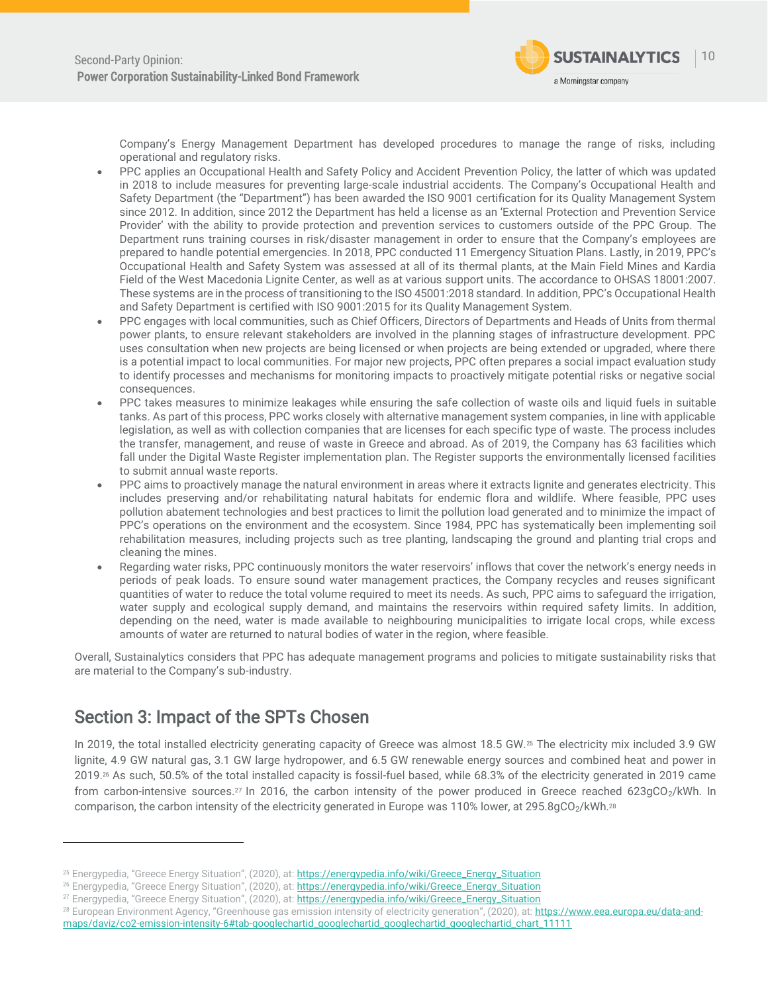

Company's Energy Management Department has developed procedures to manage the range of risks, including operational and regulatory risks.

- PPC applies an Occupational Health and Safety Policy and Accident Prevention Policy, the latter of which was updated in 2018 to include measures for preventing large-scale industrial accidents. The Company's Occupational Health and Safety Department (the "Department") has been awarded the ISO 9001 certification for its Quality Management System since 2012. In addition, since 2012 the Department has held a license as an 'External Protection and Prevention Service Provider' with the ability to provide protection and prevention services to customers outside of the PPC Group. The Department runs training courses in risk/disaster management in order to ensure that the Company's employees are prepared to handle potential emergencies. In 2018, PPC conducted 11 Emergency Situation Plans. Lastly, in 2019, PPC's Occupational Health and Safety System was assessed at all of its thermal plants, at the Main Field Mines and Kardia Field of the West Macedonia Lignite Center, as well as at various support units. The accordance to OHSAS 18001:2007. These systems are in the process of transitioning to the ISO 45001:2018 standard. In addition, PPC's Occupational Health and Safety Department is certified with ISO 9001:2015 for its Quality Management System.
- PPC engages with local communities, such as Chief Officers, Directors of Departments and Heads of Units from thermal power plants, to ensure relevant stakeholders are involved in the planning stages of infrastructure development. PPC uses consultation when new projects are being licensed or when projects are being extended or upgraded, where there is a potential impact to local communities. For major new projects, PPC often prepares a social impact evaluation study to identify processes and mechanisms for monitoring impacts to proactively mitigate potential risks or negative social consequences.
- PPC takes measures to minimize leakages while ensuring the safe collection of waste oils and liquid fuels in suitable tanks. As part of this process, PPC works closely with alternative management system companies, in line with applicable legislation, as well as with collection companies that are licenses for each specific type of waste. The process includes the transfer, management, and reuse of waste in Greece and abroad. As of 2019, the Company has 63 facilities which fall under the Digital Waste Register implementation plan. The Register supports the environmentally licensed facilities to submit annual waste reports.
- PPC aims to proactively manage the natural environment in areas where it extracts lignite and generates electricity. This includes preserving and/or rehabilitating natural habitats for endemic flora and wildlife. Where feasible, PPC uses pollution abatement technologies and best practices to limit the pollution load generated and to minimize the impact of PPC's operations on the environment and the ecosystem. Since 1984, PPC has systematically been implementing soil rehabilitation measures, including projects such as tree planting, landscaping the ground and planting trial crops and cleaning the mines.
- Regarding water risks, PPC continuously monitors the water reservoirs' inflows that cover the network's energy needs in periods of peak loads. To ensure sound water management practices, the Company recycles and reuses significant quantities of water to reduce the total volume required to meet its needs. As such, PPC aims to safeguard the irrigation, water supply and ecological supply demand, and maintains the reservoirs within required safety limits. In addition, depending on the need, water is made available to neighbouring municipalities to irrigate local crops, while excess amounts of water are returned to natural bodies of water in the region, where feasible.

Overall, Sustainalytics considers that PPC has adequate management programs and policies to mitigate sustainability risks that are material to the Company's sub-industry.

## <span id="page-9-0"></span>Section 3: Impact of the SPTs Chosen

In 2019, the total installed electricity generating capacity of Greece was almost 18.5 GW.<sup>25</sup> The electricity mix included 3.9 GW lignite, 4.9 GW natural gas, 3.1 GW large hydropower, and 6.5 GW renewable energy sources and combined heat and power in 2019.<sup>26</sup> As such, 50.5% of the total installed capacity is fossil-fuel based, while 68.3% of the electricity generated in 2019 came from carbon-intensive sources.<sup>27</sup> In 2016, the carbon intensity of the power produced in Greece reached 623gCO<sub>2</sub>/kWh. In comparison, the carbon intensity of the electricity generated in Europe was 110% lower, at 295.8qCO<sub>2</sub>/kWh.<sup>28</sup>

<sup>28</sup> European Environment Agency, "Greenhouse gas emission intensity of electricity generation", (2020), at: [https://www.eea.europa.eu/data-and](https://www.eea.europa.eu/data-and-maps/daviz/co2-emission-intensity-6#tab-googlechartid_googlechartid_googlechartid_googlechartid_chart_11111)[maps/daviz/co2-emission-intensity-6#tab-googlechartid\\_googlechartid\\_googlechartid\\_googlechartid\\_chart\\_11111](https://www.eea.europa.eu/data-and-maps/daviz/co2-emission-intensity-6#tab-googlechartid_googlechartid_googlechartid_googlechartid_chart_11111)

<sup>&</sup>lt;sup>25</sup> Energypedia, "Greece Energy Situation", (2020), at: [https://energypedia.info/wiki/Greece\\_Energy\\_Situation](https://energypedia.info/wiki/Greece_Energy_Situation)

<sup>&</sup>lt;sup>26</sup> Energypedia, "Greece Energy Situation", (2020), at: [https://energypedia.info/wiki/Greece\\_Energy\\_Situation](https://energypedia.info/wiki/Greece_Energy_Situation)

<sup>&</sup>lt;sup>27</sup> Energypedia, "Greece Energy Situation", (2020), at: [https://energypedia.info/wiki/Greece\\_Energy\\_Situation](https://energypedia.info/wiki/Greece_Energy_Situation)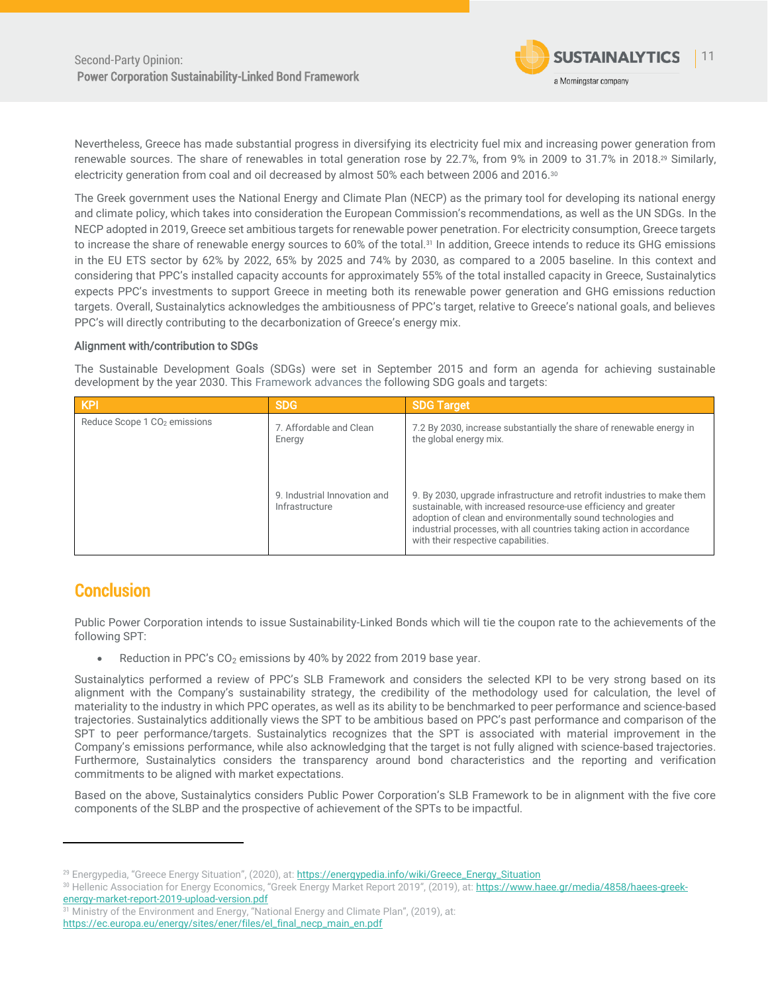

Nevertheless, Greece has made substantial progress in diversifying its electricity fuel mix and increasing power generation from renewable sources. The share of renewables in total generation rose by 22.7%, from 9% in 2009 to 31.7% in 2018.<sup>29</sup> Similarly, electricity generation from coal and oil decreased by almost 50% each between 2006 and 2016.<sup>30</sup>

The Greek government uses the National Energy and Climate Plan (NECP) as the primary tool for developing its national energy and climate policy, which takes into consideration the European Commission's recommendations, as well as the UN SDGs. In the NECP adopted in 2019, Greece set ambitious targets for renewable power penetration. For electricity consumption, Greece targets to increase the share of renewable energy sources to 60% of the total.<sup>31</sup> In addition, Greece intends to reduce its GHG emissions in the EU ETS sector by 62% by 2022, 65% by 2025 and 74% by 2030, as compared to a 2005 baseline. In this context and considering that PPC's installed capacity accounts for approximately 55% of the total installed capacity in Greece, Sustainalytics expects PPC's investments to support Greece in meeting both its renewable power generation and GHG emissions reduction targets. Overall, Sustainalytics acknowledges the ambitiousness of PPC's target, relative to Greece's national goals, and believes PPC's will directly contributing to the decarbonization of Greece's energy mix.

#### Alignment with/contribution to SDGs

The Sustainable Development Goals (SDGs) were set in September 2015 and form an agenda for achieving sustainable development by the year 2030. This Framework advances the following SDG goals and targets:

| <b>KPI</b>                               | <b>SDG</b>                                     | <b>SDG Target</b>                                                                                                                                                                                                                                                                                                         |
|------------------------------------------|------------------------------------------------|---------------------------------------------------------------------------------------------------------------------------------------------------------------------------------------------------------------------------------------------------------------------------------------------------------------------------|
| Reduce Scope 1 CO <sub>2</sub> emissions | 7. Affordable and Clean<br>Energy              | 7.2 By 2030, increase substantially the share of renewable energy in<br>the global energy mix.                                                                                                                                                                                                                            |
|                                          | 9. Industrial Innovation and<br>Infrastructure | 9. By 2030, upgrade infrastructure and retrofit industries to make them<br>sustainable, with increased resource-use efficiency and greater<br>adoption of clean and environmentally sound technologies and<br>industrial processes, with all countries taking action in accordance<br>with their respective capabilities. |

## <span id="page-10-0"></span>**Conclusion**

Public Power Corporation intends to issue Sustainability-Linked Bonds which will tie the coupon rate to the achievements of the following SPT:

Reduction in PPC's CO<sub>2</sub> emissions by 40% by 2022 from 2019 base year.

Sustainalytics performed a review of PPC's SLB Framework and considers the selected KPI to be very strong based on its alignment with the Company's sustainability strategy, the credibility of the methodology used for calculation, the level of materiality to the industry in which PPC operates, as well as its ability to be benchmarked to peer performance and science-based trajectories. Sustainalytics additionally views the SPT to be ambitious based on PPC's past performance and comparison of the SPT to peer performance/targets. Sustainalytics recognizes that the SPT is associated with material improvement in the Company's emissions performance, while also acknowledging that the target is not fully aligned with science-based trajectories. Furthermore, Sustainalytics considers the transparency around bond characteristics and the reporting and verification commitments to be aligned with market expectations.

Based on the above, Sustainalytics considers Public Power Corporation's SLB Framework to be in alignment with the five core components of the SLBP and the prospective of achievement of the SPTs to be impactful.

<sup>&</sup>lt;sup>29</sup> Energypedia, "Greece Energy Situation", (2020), at: [https://energypedia.info/wiki/Greece\\_Energy\\_Situation](https://energypedia.info/wiki/Greece_Energy_Situation)

<sup>30</sup> Hellenic Association for Energy Economics, "Greek Energy Market Report 2019", (2019), at: [https://www.haee.gr/media/4858/haees-greek](https://www.haee.gr/media/4858/haees-greek-energy-market-report-2019-upload-version.pdf)[energy-market-report-2019-upload-version.pdf](https://www.haee.gr/media/4858/haees-greek-energy-market-report-2019-upload-version.pdf)

<sup>&</sup>lt;sup>31</sup> Ministry of the Environment and Energy, "National Energy and Climate Plan", (2019), at: [https://ec.europa.eu/energy/sites/ener/files/el\\_final\\_necp\\_main\\_en.pdf](https://ec.europa.eu/energy/sites/ener/files/el_final_necp_main_en.pdf)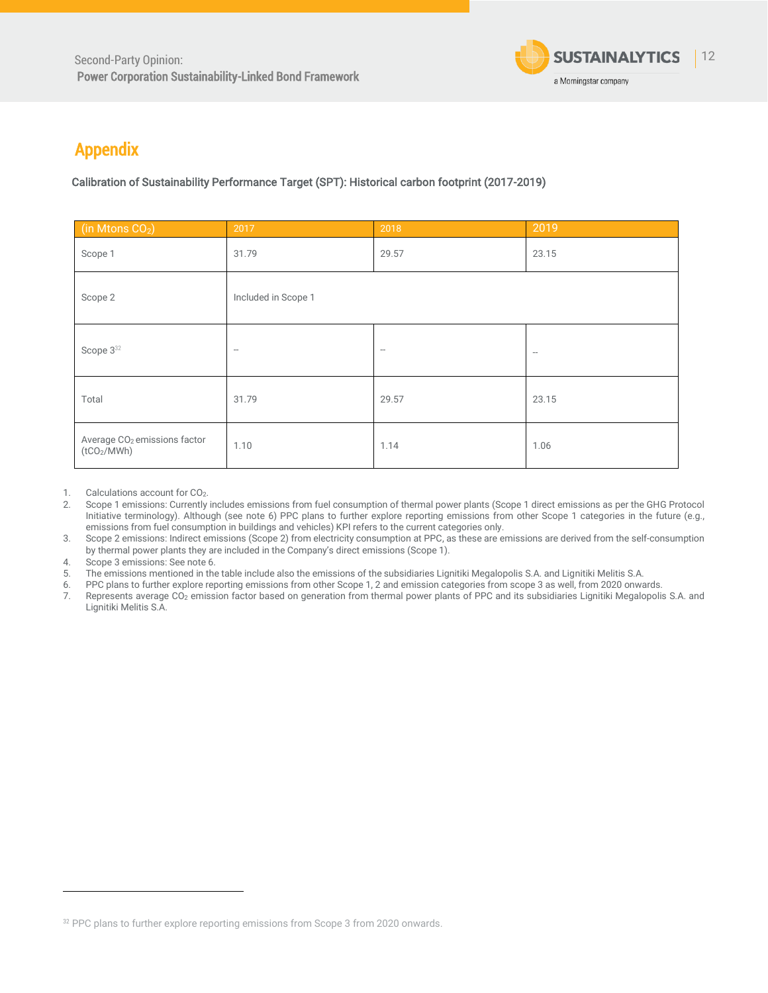

# <span id="page-11-0"></span>Appendix

Calibration of Sustainability Performance Target (SPT): Historical carbon footprint (2017-2019)

| (in Mtons CO <sub>2</sub> )                                         | 2017                     | 2018                     | 2019                |
|---------------------------------------------------------------------|--------------------------|--------------------------|---------------------|
| Scope 1                                                             | 31.79                    | 29.57                    | 23.15               |
| Scope 2                                                             | Included in Scope 1      |                          |                     |
| Scope 3 <sup>32</sup>                                               | $\overline{\phantom{a}}$ | $\overline{\phantom{a}}$ | $\hspace{0.05cm} -$ |
| Total                                                               | 31.79                    | 29.57                    | 23.15               |
| Average CO <sub>2</sub> emissions factor<br>(tCO <sub>2</sub> /MWh) | 1.10                     | 1.14                     | 1.06                |

1. Calculations account for CO<sub>2</sub>.

2. Scope 1 emissions: Currently includes emissions from fuel consumption of thermal power plants (Scope 1 direct emissions as per the GHG Protocol Initiative terminology). Although (see note 6) PPC plans to further explore reporting emissions from other Scope 1 categories in the future (e.g., emissions from fuel consumption in buildings and vehicles) KPI refers to the current categories only.

3. Scope 2 emissions: Indirect emissions (Scope 2) from electricity consumption at PPC, as these are emissions are derived from the self-consumption by thermal power plants they are included in the Company's direct emissions (Scope 1).

4. Scope 3 emissions: See note 6.<br>5. The emissions mentioned in the

5. The emissions mentioned in the table include also the emissions of the subsidiaries Lignitiki Megalopolis S.A. and Lignitiki Melitis S.A.

6. PPC plans to further explore reporting emissions from other Scope 1, 2 and emission categories from scope 3 as well, from 2020 onwards.

Represents average CO<sub>2</sub> emission factor based on generation from thermal power plants of PPC and its subsidiaries Lignitiki Megalopolis S.A. and Lignitiki Melitis S.A.

<sup>32</sup> PPC plans to further explore reporting emissions from Scope 3 from 2020 onwards.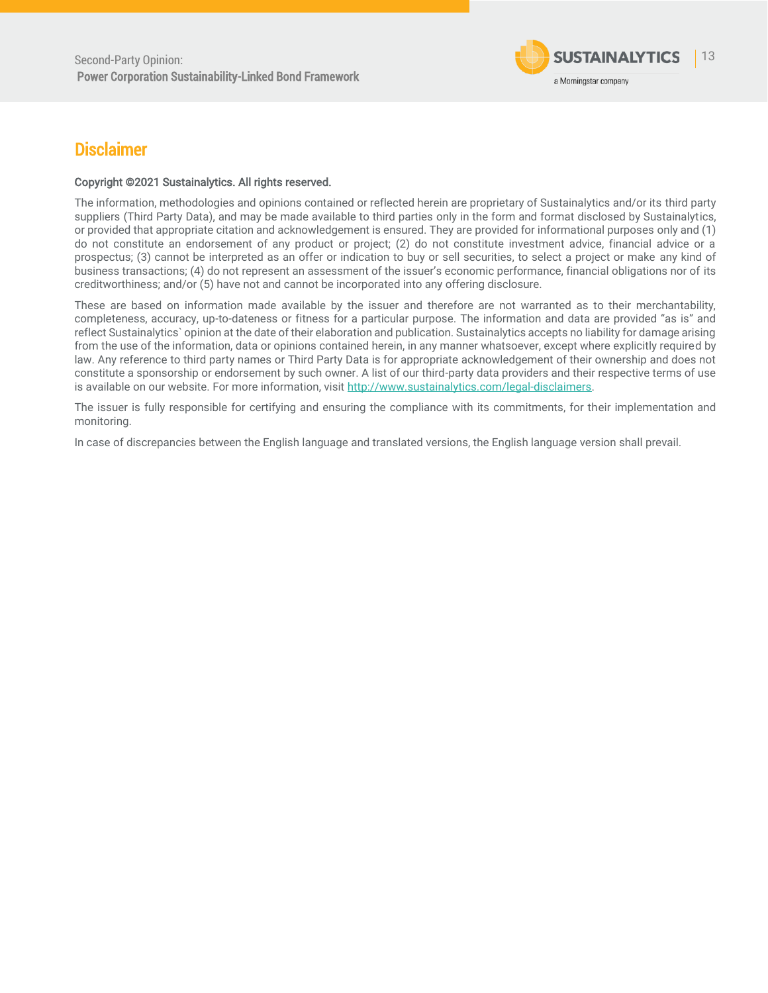

## <span id="page-12-0"></span>**Disclaimer**

#### Copyright ©2021 Sustainalytics. All rights reserved.

The information, methodologies and opinions contained or reflected herein are proprietary of Sustainalytics and/or its third party suppliers (Third Party Data), and may be made available to third parties only in the form and format disclosed by Sustainalytics, or provided that appropriate citation and acknowledgement is ensured. They are provided for informational purposes only and (1) do not constitute an endorsement of any product or project; (2) do not constitute investment advice, financial advice or a prospectus; (3) cannot be interpreted as an offer or indication to buy or sell securities, to select a project or make any kind of business transactions; (4) do not represent an assessment of the issuer's economic performance, financial obligations nor of its creditworthiness; and/or (5) have not and cannot be incorporated into any offering disclosure.

These are based on information made available by the issuer and therefore are not warranted as to their merchantability, completeness, accuracy, up-to-dateness or fitness for a particular purpose. The information and data are provided "as is" and reflect Sustainalytics` opinion at the date of their elaboration and publication. Sustainalytics accepts no liability for damage arising from the use of the information, data or opinions contained herein, in any manner whatsoever, except where explicitly required by law. Any reference to third party names or Third Party Data is for appropriate acknowledgement of their ownership and does not constitute a sponsorship or endorsement by such owner. A list of our third-party data providers and their respective terms of use is available on our website. For more information, visit [http://www.sustainalytics.com/legal-disclaimers.](http://www.sustainalytics.com/legal-disclaimers)

The issuer is fully responsible for certifying and ensuring the compliance with its commitments, for their implementation and monitoring.

In case of discrepancies between the English language and translated versions, the English language version shall prevail.